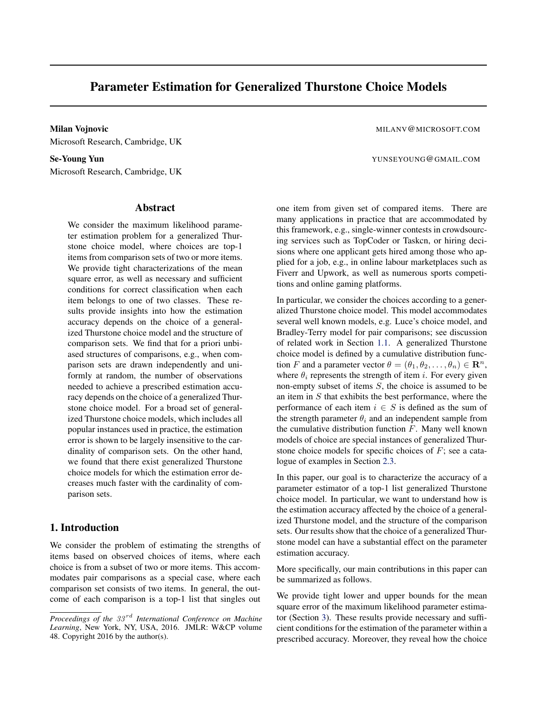# <span id="page-0-0"></span>Parameter Estimation for Generalized Thurstone Choice Models

Milan Vojnovic **Milan Vojnovic** Milan Vojnovic Milan Vojnovic Milan Vojnovic Milan Vojnovic Milan Vojnovic Milan V Microsoft Research, Cambridge, UK

Microsoft Research, Cambridge, UK

# Abstract

We consider the maximum likelihood parameter estimation problem for a generalized Thurstone choice model, where choices are top-1 items from comparison sets of two or more items. We provide tight characterizations of the mean square error, as well as necessary and sufficient conditions for correct classification when each item belongs to one of two classes. These results provide insights into how the estimation accuracy depends on the choice of a generalized Thurstone choice model and the structure of comparison sets. We find that for a priori unbiased structures of comparisons, e.g., when comparison sets are drawn independently and uniformly at random, the number of observations needed to achieve a prescribed estimation accuracy depends on the choice of a generalized Thurstone choice model. For a broad set of generalized Thurstone choice models, which includes all popular instances used in practice, the estimation error is shown to be largely insensitive to the cardinality of comparison sets. On the other hand, we found that there exist generalized Thurstone choice models for which the estimation error decreases much faster with the cardinality of comparison sets.

# 1. Introduction

We consider the problem of estimating the strengths of items based on observed choices of items, where each choice is from a subset of two or more items. This accommodates pair comparisons as a special case, where each comparison set consists of two items. In general, the outcome of each comparison is a top-1 list that singles out

Se-Young Yun Yunseroung Canal L.Com

one item from given set of compared items. There are many applications in practice that are accommodated by this framework, e.g., single-winner contests in crowdsourcing services such as TopCoder or Taskcn, or hiring decisions where one applicant gets hired among those who applied for a job, e.g., in online labour marketplaces such as Fiverr and Upwork, as well as numerous sports competitions and online gaming platforms.

In particular, we consider the choices according to a generalized Thurstone choice model. This model accommodates several well known models, e.g. Luce's choice model, and Bradley-Terry model for pair comparisons; see discussion of related work in Section [1.1.](#page-1-0) A generalized Thurstone choice model is defined by a cumulative distribution function *F* and a parameter vector  $\theta = (\theta_1, \theta_2, \dots, \theta_n) \in \mathbb{R}^n$ , where  $\theta_i$  represents the strength of item *i*. For every given non-empty subset of items *S*, the choice is assumed to be an item in *S* that exhibits the best performance, where the performance of each item  $i \in S$  is defined as the sum of the strength parameter  $\theta_i$  and an independent sample from the cumulative distribution function *F*. Many well known models of choice are special instances of generalized Thurstone choice models for specific choices of *F*; see a catalogue of examples in Section [2.3.](#page-2-0)

In this paper, our goal is to characterize the accuracy of a parameter estimator of a top-1 list generalized Thurstone choice model. In particular, we want to understand how is the estimation accuracy affected by the choice of a generalized Thurstone model, and the structure of the comparison sets. Our results show that the choice of a generalized Thurstone model can have a substantial effect on the parameter estimation accuracy.

More specifically, our main contributions in this paper can be summarized as follows.

We provide tight lower and upper bounds for the mean square error of the maximum likelihood parameter estimator (Section [3\)](#page-3-0). These results provide necessary and sufficient conditions for the estimation of the parameter within a prescribed accuracy. Moreover, they reveal how the choice

*Proceedings of the 33 rd International Conference on Machine Learning*, New York, NY, USA, 2016. JMLR: W&CP volume 48. Copyright 2016 by the author(s).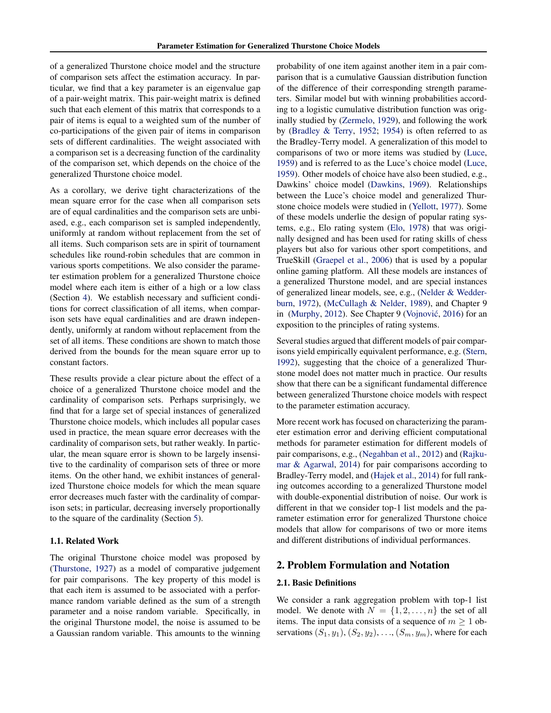<span id="page-1-0"></span>of a generalized Thurstone choice model and the structure of comparison sets affect the estimation accuracy. In particular, we find that a key parameter is an eigenvalue gap of a pair-weight matrix. This pair-weight matrix is defined such that each element of this matrix that corresponds to a pair of items is equal to a weighted sum of the number of co-participations of the given pair of items in comparison sets of different cardinalities. The weight associated with a comparison set is a decreasing function of the cardinality of the comparison set, which depends on the choice of the generalized Thurstone choice model.

As a corollary, we derive tight characterizations of the mean square error for the case when all comparison sets are of equal cardinalities and the comparison sets are unbiased, e.g., each comparison set is sampled independently, uniformly at random without replacement from the set of all items. Such comparison sets are in spirit of tournament schedules like round-robin schedules that are common in various sports competitions. We also consider the parameter estimation problem for a generalized Thurstone choice model where each item is either of a high or a low class (Section [4\)](#page-5-0). We establish necessary and sufficient conditions for correct classification of all items, when comparison sets have equal cardinalities and are drawn independently, uniformly at random without replacement from the set of all items. These conditions are shown to match those derived from the bounds for the mean square error up to constant factors.

These results provide a clear picture about the effect of a choice of a generalized Thurstone choice model and the cardinality of comparison sets. Perhaps surprisingly, we find that for a large set of special instances of generalized Thurstone choice models, which includes all popular cases used in practice, the mean square error decreases with the cardinality of comparison sets, but rather weakly. In particular, the mean square error is shown to be largely insensitive to the cardinality of comparison sets of three or more items. On the other hand, we exhibit instances of generalized Thurstone choice models for which the mean square error decreases much faster with the cardinality of comparison sets; in particular, decreasing inversely proportionally to the square of the cardinality (Section [5\)](#page-6-0).

#### 1.1. Related Work

The original Thurstone choice model was proposed by [\(Thurstone,](#page-8-0) [1927\)](#page-8-0) as a model of comparative judgement for pair comparisons. The key property of this model is that each item is assumed to be associated with a performance random variable defined as the sum of a strength parameter and a noise random variable. Specifically, in the original Thurstone model, the noise is assumed to be a Gaussian random variable. This amounts to the winning

probability of one item against another item in a pair comparison that is a cumulative Gaussian distribution function of the difference of their corresponding strength parameters. Similar model but with winning probabilities according to a logistic cumulative distribution function was originally studied by [\(Zermelo,](#page-8-0) [1929\)](#page-8-0), and following the work by [\(Bradley & Terry,](#page-7-0) [1952;](#page-7-0) [1954\)](#page-7-0) is often referred to as the Bradley-Terry model. A generalization of this model to comparisons of two or more items was studied by [\(Luce,](#page-8-0) [1959\)](#page-8-0) and is referred to as the Luce's choice model [\(Luce,](#page-8-0) [1959\)](#page-8-0). Other models of choice have also been studied, e.g., Dawkins' choice model [\(Dawkins,](#page-7-0) [1969\)](#page-7-0). Relationships between the Luce's choice model and generalized Thurstone choice models were studied in [\(Yellott,](#page-8-0) [1977\)](#page-8-0). Some of these models underlie the design of popular rating systems, e.g., Elo rating system [\(Elo,](#page-7-0) [1978\)](#page-7-0) that was originally designed and has been used for rating skills of chess players but also for various other sport competitions, and TrueSkill [\(Graepel et al.,](#page-7-0) [2006\)](#page-7-0) that is used by a popular online gaming platform. All these models are instances of a generalized Thurstone model, and are special instances of generalized linear models, see, e.g., [\(Nelder & Wedder](#page-8-0)[burn,](#page-8-0) [1972\)](#page-8-0), [\(McCullagh & Nelder,](#page-8-0) [1989\)](#page-8-0), and Chapter 9 in [\(Murphy,](#page-8-0) [2012\)](#page-8-0). See Chapter 9 (Vojnović, [2016\)](#page-8-0) for an exposition to the principles of rating systems.

Several studies argued that different models of pair comparisons yield empirically equivalent performance, e.g. [\(Stern,](#page-8-0) [1992\)](#page-8-0), suggesting that the choice of a generalized Thurstone model does not matter much in practice. Our results show that there can be a significant fundamental difference between generalized Thurstone choice models with respect to the parameter estimation accuracy.

More recent work has focused on characterizing the parameter estimation error and deriving efficient computational methods for parameter estimation for different models of pair comparisons, e.g., [\(Negahban et al.,](#page-8-0) [2012\)](#page-8-0) and [\(Rajku](#page-8-0)[mar & Agarwal,](#page-8-0) [2014\)](#page-8-0) for pair comparisons according to Bradley-Terry model, and [\(Hajek et al.,](#page-7-0) [2014\)](#page-7-0) for full ranking outcomes according to a generalized Thurstone model with double-exponential distribution of noise. Our work is different in that we consider top-1 list models and the parameter estimation error for generalized Thurstone choice models that allow for comparisons of two or more items and different distributions of individual performances.

## 2. Problem Formulation and Notation

#### 2.1. Basic Definitions

We consider a rank aggregation problem with top-1 list model. We denote with  $N = \{1, 2, \ldots, n\}$  the set of all items. The input data consists of a sequence of  $m \geq 1$  observations  $(S_1, y_1), (S_2, y_2), ..., (S_m, y_m)$ , where for each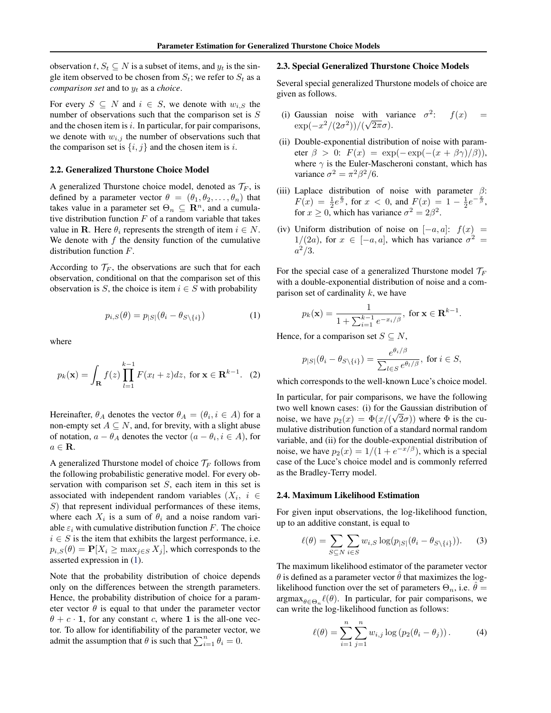<span id="page-2-0"></span>observation  $t, S_t \subseteq N$  is a subset of items, and  $y_t$  is the single item observed to be chosen from  $S_t$ ; we refer to  $S_t$  as a *comparison set* and to *y<sup>t</sup>* as a *choice*.

For every  $S \subseteq N$  and  $i \in S$ , we denote with  $w_{i,S}$  the number of observations such that the comparison set is *S* and the chosen item is *i*. In particular, for pair comparisons, we denote with  $w_{i,j}$  the number of observations such that the comparison set is  $\{i, j\}$  and the chosen item is *i*.

#### 2.2. Generalized Thurstone Choice Model

A generalized Thurstone choice model, denoted as  $\mathcal{T}_F$ , is defined by a parameter vector  $\theta = (\theta_1, \theta_2, \dots, \theta_n)$  that takes value in a parameter set  $\Theta_n \subseteq \mathbb{R}^n$ , and a cumulative distribution function  $F$  of a random variable that takes value in **R**. Here  $\theta_i$  represents the strength of item  $i \in N$ . We denote with *f* the density function of the cumulative distribution function *F*.

According to  $\mathcal{T}_F$ , the observations are such that for each observation, conditional on that the comparison set of this observation is *S*, the choice is item  $i \in S$  with probability

$$
p_{i,S}(\theta) = p_{|S|}(\theta_i - \theta_{S \setminus \{i\}})
$$
 (1)

where

$$
p_k(\mathbf{x}) = \int_{\mathbf{R}} f(z) \prod_{l=1}^{k-1} F(x_l + z) dz, \text{ for } \mathbf{x} \in \mathbf{R}^{k-1}.
$$
 (2)

Hereinafter,  $\theta_A$  denotes the vector  $\theta_A = (\theta_i, i \in A)$  for a non-empty set  $A \subseteq N$ , and, for brevity, with a slight abuse of notation,  $a - \theta_A$  denotes the vector  $(a - \theta_i, i \in A)$ , for  $a \in \mathbf{R}$ .

A generalized Thurstone model of choice  $\mathcal{T}_F$  follows from the following probabilistic generative model. For every observation with comparison set *S*, each item in this set is associated with independent random variables  $(X_i, i \in$ *S*) that represent individual performances of these items, where each  $X_i$  is a sum of  $\theta_i$  and a noise random variable  $\varepsilon_i$  with cumulative distribution function *F*. The choice  $i \in S$  is the item that exhibits the largest performance, i.e.  $p_{i,S}(\theta) = \mathbf{P}[X_i \geq \max_{j \in S} X_j]$ , which corresponds to the asserted expression in (1).

Note that the probability distribution of choice depends only on the differences between the strength parameters. Hence, the probability distribution of choice for a parameter vector  $\theta$  is equal to that under the parameter vector  $\theta + c \cdot 1$ , for any constant *c*, where 1 is the all-one vector. To allow for identifiability of the parameter vector, we admit the assumption that  $\theta$  is such that  $\sum_{i=1}^{n} \theta_i = 0$ .

#### 2.3. Special Generalized Thurstone Choice Models

Several special generalized Thurstone models of choice are given as follows.

- (i) Gaussian noise with variance  $\sigma^2$ :  $f(x)$  =  $\exp(-x^2/(2\sigma^2))/(\sqrt{2\pi}\sigma).$
- (ii) Double-exponential distribution of noise with parameter  $\beta > 0$ :  $F(x) = \exp(-\exp(-(x + \beta \gamma)/\beta)),$ where  $\gamma$  is the Euler-Mascheroni constant, which has variance  $\sigma^2 = \pi^2 \beta^2 / 6$ .
- (iii) Laplace distribution of noise with parameter  $\beta$ :  $F(x) = \frac{1}{2}e^{\frac{x}{\beta}}$ , for  $x < 0$ , and  $F(x) = 1 - \frac{1}{2}e^{-\frac{x}{\beta}}$ , for  $x \ge 0$ , which has variance  $\sigma^2 = 2\beta^2$ .
- (iv) Uniform distribution of noise on  $[-a, a]$ :  $f(x) =$  $1/(2a)$ , for  $x \in [-a, a]$ , which has variance  $\sigma^2 =$ *a*2*/*3.

For the special case of a generalized Thurstone model *T<sup>F</sup>* with a double-exponential distribution of noise and a comparison set of cardinality *k*, we have

$$
p_k(\mathbf{x}) = \frac{1}{1 + \sum_{i=1}^{k-1} e^{-x_i/\beta}}, \text{ for } \mathbf{x} \in \mathbf{R}^{k-1}.
$$

Hence, for a comparison set  $S \subseteq N$ ,

$$
p_{|S|}(\theta_i - \theta_{S \setminus \{i\}}) = \frac{e^{\theta_i/\beta}}{\sum_{l \in S} e^{\theta_l/\beta}}, \text{ for } i \in S,
$$

which corresponds to the well-known Luce's choice model.

In particular, for pair comparisons, we have the following two well known cases: (i) for the Gaussian distribution of noise, we have  $p_2(x) = \Phi(x/(\sqrt{2}\sigma))$  where  $\Phi$  is the cumulative distribution function of a standard normal random variable, and (ii) for the double-exponential distribution of noise, we have  $p_2(x)=1/(1 + e^{-x/\beta})$ , which is a special case of the Luce's choice model and is commonly referred as the Bradley-Terry model.

#### 2.4. Maximum Likelihood Estimation

For given input observations, the log-likelihood function, up to an additive constant, is equal to

$$
\ell(\theta) = \sum_{S \subseteq N} \sum_{i \in S} w_{i,S} \log(p_{|S|}(\theta_i - \theta_{S \setminus \{i\}})).
$$
 (3)

The maximum likelihood estimator of the parameter vector  $\theta$  is defined as a parameter vector  $\hat{\theta}$  that maximizes the loglikelihood function over the set of parameters  $\Theta_n$ , i.e.  $\hat{\theta} =$  $argmax_{\theta \in \Theta_n} \ell(\theta)$ . In particular, for pair comparisons, we can write the log-likelihood function as follows:

$$
\ell(\theta) = \sum_{i=1}^{n} \sum_{j=1}^{n} w_{i,j} \log (p_2(\theta_i - \theta_j)).
$$
 (4)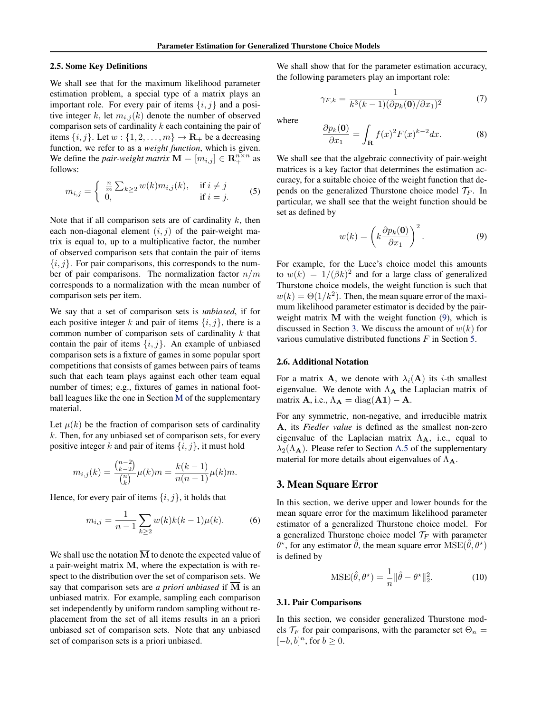#### <span id="page-3-0"></span>2.5. Some Key Definitions

We shall see that for the maximum likelihood parameter estimation problem, a special type of a matrix plays an important role. For every pair of items *{i, j}* and a positive integer *k*, let  $m_{i,j}(k)$  denote the number of observed comparison sets of cardinality *k* each containing the pair of items  $\{i, j\}$ . Let  $w : \{1, 2, \ldots, m\} \to \mathbf{R}_+$  be a decreasing function, we refer to as a *weight function*, which is given. We define the *pair-weight matrix*  $\mathbf{M} = [m_{i,j}] \in \mathbf{R}_{+}^{n \times n}$  as follows:

$$
m_{i,j} = \begin{cases} \frac{n}{m} \sum_{k \ge 2} w(k) m_{i,j}(k), & \text{if } i \ne j \\ 0, & \text{if } i = j. \end{cases}
$$
 (5)

Note that if all comparison sets are of cardinality *k*, then each non-diagonal element  $(i, j)$  of the pair-weight matrix is equal to, up to a multiplicative factor, the number of observed comparison sets that contain the pair of items *{i, j}*. For pair comparisons, this corresponds to the number of pair comparisons. The normalization factor *n/m* corresponds to a normalization with the mean number of comparison sets per item.

We say that a set of comparison sets is *unbiased*, if for each positive integer *k* and pair of items  $\{i, j\}$ , there is a common number of comparison sets of cardinality *k* that contain the pair of items *{i, j}*. An example of unbiased comparison sets is a fixture of games in some popular sport competitions that consists of games between pairs of teams such that each team plays against each other team equal number of times; e.g., fixtures of games in national football leagues like the one in Section [M](#page-0-0) of the supplementary material.

Let  $\mu(k)$  be the fraction of comparison sets of cardinality *k*. Then, for any unbiased set of comparison sets, for every positive integer *k* and pair of items *{i, j}*, it must hold

$$
m_{i,j}(k) = \frac{\binom{n-2}{k-2}}{\binom{n}{k}} \mu(k)m = \frac{k(k-1)}{n(n-1)} \mu(k)m.
$$

Hence, for every pair of items  $\{i, j\}$ , it holds that

$$
m_{i,j} = \frac{1}{n-1} \sum_{k \ge 2} w(k)k(k-1)\mu(k).
$$
 (6)

We shall use the notation  $\overline{M}$  to denote the expected value of a pair-weight matrix M, where the expectation is with respect to the distribution over the set of comparison sets. We say that comparison sets are *a priori unbiased* if M is an unbiased matrix. For example, sampling each comparison set independently by uniform random sampling without replacement from the set of all items results in an a priori unbiased set of comparison sets. Note that any unbiased set of comparison sets is a priori unbiased.

We shall show that for the parameter estimation accuracy, the following parameters play an important role:

$$
\gamma_{F,k} = \frac{1}{k^3(k-1)(\partial p_k(\mathbf{0})/\partial x_1)^2} \tag{7}
$$

where

$$
\frac{\partial p_k(\mathbf{0})}{\partial x_1} = \int_{\mathbf{R}} f(x)^2 F(x)^{k-2} dx.
$$
 (8)

We shall see that the algebraic connectivity of pair-weight matrices is a key factor that determines the estimation accuracy, for a suitable choice of the weight function that depends on the generalized Thurstone choice model  $\mathcal{T}_F$ . In particular, we shall see that the weight function should be set as defined by

$$
w(k) = \left(k \frac{\partial p_k(\mathbf{0})}{\partial x_1}\right)^2.
$$
 (9)

For example, for the Luce's choice model this amounts to  $w(k) = 1/(\beta k)^2$  and for a large class of generalized Thurstone choice models, the weight function is such that  $w(k) = \Theta(1/k^2)$ . Then, the mean square error of the maximum likelihood parameter estimator is decided by the pairweight matrix M with the weight function (9), which is discussed in Section 3. We discuss the amount of *w*(*k*) for various cumulative distributed functions *F* in Section [5.](#page-6-0)

## 2.6. Additional Notation

For a matrix **A**, we denote with  $\lambda_i(\mathbf{A})$  its *i*-th smallest eigenvalue. We denote with  $\Lambda_A$  the Laplacian matrix of matrix **A**, i.e.,  $\Lambda_{\mathbf{A}} = \text{diag}(\mathbf{A}\mathbf{1}) - \mathbf{A}$ .

For any symmetric, non-negative, and irreducible matrix A, its *Fiedler value* is defined as the smallest non-zero eigenvalue of the Laplacian matrix  $\Lambda_{A}$ , i.e., equal to  $\lambda_2(\Lambda_A)$ . Please refer to Section [A.5](#page-0-0) of the supplementary material for more details about eigenvalues of  $\Lambda_{\mathbf{A}}$ .

## 3. Mean Square Error

In this section, we derive upper and lower bounds for the mean square error for the maximum likelihood parameter estimator of a generalized Thurstone choice model. For a generalized Thurstone choice model  $\mathcal{T}_F$  with parameter  $\theta^*$ , for any estimator  $\hat{\theta}$ , the mean square error MSE( $\hat{\theta}, \theta^*$ ) is defined by

$$
\text{MSE}(\hat{\theta}, \theta^{\star}) = \frac{1}{n} ||\hat{\theta} - \theta^{\star}||_2^2.
$$
 (10)

#### 3.1. Pair Comparisons

In this section, we consider generalized Thurstone models  $\mathcal{T}_F$  for pair comparisons, with the parameter set  $\Theta_n =$  $[-b, b]^n$ , for  $b \geq 0$ .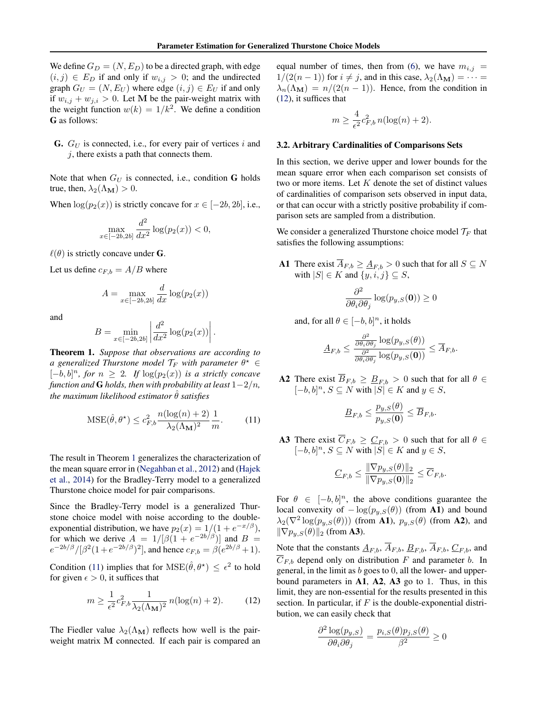<span id="page-4-0"></span>We define  $G_D = (N, E_D)$  to be a directed graph, with edge  $(i, j) \in E_D$  if and only if  $w_{i,j} > 0$ ; and the undirected graph  $G_U = (N, E_U)$  where edge  $(i, j) \in E_U$  if and only if  $w_{i,j} + w_{j,i} > 0$ . Let M be the pair-weight matrix with the weight function  $w(k) = 1/k<sup>2</sup>$ . We define a condition G as follows:

G. *G<sup>U</sup>* is connected, i.e., for every pair of vertices *i* and *j*, there exists a path that connects them.

Note that when  $G_U$  is connected, i.e., condition G holds true, then,  $\lambda_2(\Lambda_M) > 0$ .

When  $log(p_2(x))$  is strictly concave for  $x \in [-2b, 2b]$ , i.e.,

$$
\max_{x \in [-2b, 2b]} \frac{d^2}{dx^2} \log(p_2(x)) < 0,
$$

 $\ell(\theta)$  is strictly concave under **G**.

Let us define  $c_{F,b} = A/B$  where

$$
A = \max_{x \in [-2b, 2b]} \frac{d}{dx} \log(p_2(x))
$$

and

$$
B = \min_{x \in [-2b, 2b]} \left| \frac{d^2}{dx^2} \log(p_2(x)) \right|.
$$

Theorem 1. *Suppose that observations are according to a* generalized Thurstone model  $\mathcal{T}_F$  with parameter  $\theta^* \in$  $[-b, b]^n$ , for  $n \geq 2$ . If  $\log(p_2(x))$  *is a strictly concave function and* **G** *holds, then with probability at least*  $1-2/n$ *, the maximum likelihood estimator*  $\hat{\theta}$  *satisfies* 

$$
\text{MSE}(\hat{\theta}, \theta^{\star}) \le c_{F,b}^2 \frac{n(\log(n) + 2)}{\lambda_2 (\Lambda_\mathbf{M})^2} \frac{1}{m}.\tag{11}
$$

The result in Theorem 1 generalizes the characterization of the mean square error in [\(Negahban et al.,](#page-8-0) [2012\)](#page-8-0) and [\(Hajek](#page-7-0) [et al.,](#page-7-0) [2014\)](#page-7-0) for the Bradley-Terry model to a generalized Thurstone choice model for pair comparisons.

Since the Bradley-Terry model is a generalized Thurstone choice model with noise according to the doubleexponential distribution, we have  $p_2(x) = 1/(1 + e^{-x/\beta})$ , for which we derive  $A = 1/[\beta(1 + e^{-2b/\beta})]$  and  $B =$  $e^{-2b/\beta}/[\beta^2(1+e^{-2b/\beta})^2]$ , and hence  $c_{F,b} = \beta(e^{2b/\beta}+1)$ .

Condition (11) implies that for  $MSE(\hat{\theta}, \theta^{\star}) \leq \epsilon^2$  to hold for given  $\epsilon > 0$ , it suffices that

$$
m \ge \frac{1}{\epsilon^2} c_{F,b}^2 \frac{1}{\lambda_2(\Lambda_\mathbf{M})^2} n(\log(n) + 2). \tag{12}
$$

The Fiedler value  $\lambda_2(\Lambda_M)$  reflects how well is the pairweight matrix M connected. If each pair is compared an equal number of times, then from [\(6\)](#page-3-0), we have  $m_{i,j}$  $1/(2(n-1))$  for  $i \neq j$ , and in this case,  $\lambda_2(\Lambda_{\mathbf{M}}) = \cdots =$  $\lambda_n(\Lambda_M) = n/(2(n-1))$ . Hence, from the condition in (12), it suffices that

$$
m \ge \frac{4}{\epsilon^2} c_{F,b}^2 n(\log(n) + 2).
$$

#### 3.2. Arbitrary Cardinalities of Comparisons Sets

In this section, we derive upper and lower bounds for the mean square error when each comparison set consists of two or more items. Let *K* denote the set of distinct values of cardinalities of comparison sets observed in input data, or that can occur with a strictly positive probability if comparison sets are sampled from a distribution.

We consider a generalized Thurstone choice model *T<sup>F</sup>* that satisfies the following assumptions:

A1 There exist  $\overline{A}_{F,b} \geq \underline{A}_{F,b} > 0$  such that for all  $S \subseteq N$ with  $|S| \in K$  and  $\{y, i, j\} \subseteq S$ ,

$$
\frac{\partial^2}{\partial \theta_i \partial \theta_j} \log(p_{y,S}(\mathbf{0})) \ge 0
$$

and, for all  $\theta \in [-b, b]^n$ , it holds

$$
\underline{A}_{F,b} \leq \frac{\frac{\partial^2}{\partial \theta_i \partial \theta_j} \log(p_{y,S}(\theta))}{\frac{\partial^2}{\partial \theta_i \partial \theta_j} \log(p_{y,S}(\mathbf{0}))} \leq \overline{A}_{F,b}.
$$

A2 There exist  $\overline{B}_{F,b} \geq \underline{B}_{F,b} > 0$  such that for all  $\theta \in$  $[-b, b]^n$ ,  $S \subseteq N$  with  $|S| \in K$  and  $y \in S$ ,

$$
\underline{B}_{F,b} \leq \frac{p_{y,S}(\theta)}{p_{y,S}(\mathbf{0})} \leq \overline{B}_{F,b}.
$$

A3 There exist  $\overline{C}_{F,b} \geq \underline{C}_{F,b} > 0$  such that for all  $\theta \in$  $[-b, b]^n$ ,  $S \subseteq N$  with  $|S| \in K$  and  $y \in S$ ,

$$
\underline{C}_{F,b} \le \frac{\|\nabla p_{y,S}(\theta)\|_2}{\|\nabla p_{y,S}(\mathbf{0})\|_2} \le \overline{C}_{F,b}.
$$

For  $\theta \in [-b, b]^n$ , the above conditions guarantee the local convexity of  $-\log(p_{y,S}(\theta))$  (from **A1**) and bound  $\lambda_2(\nabla^2 \log(p_{y,S}(\theta)))$  (from **A1**),  $p_{y,S}(\theta)$  (from **A2**), and  $\|\nabla p_{y,S}(\theta)\|_2$  (from **A3**).

Note that the constants  $\underline{A}_{F,b}$ ,  $\overline{A}_{F,b}$ ,  $\underline{B}_{F,b}$ ,  $\overline{A}_{F,b}$ ,  $\underline{C}_{F,b}$ , and  $\overline{C}_{F,b}$  depend only on distribution *F* and parameter *b*. In general, in the limit as *b* goes to 0, all the lower- and upperbound parameters in  $A1$ ,  $A2$ ,  $A3$  go to 1. Thus, in this limit, they are non-essential for the results presented in this section. In particular, if *F* is the double-exponential distribution, we can easily check that

$$
\frac{\partial^2 \log(p_{y,S})}{\partial \theta_i \partial \theta_j} = \frac{p_{i,S}(\theta) p_{j,S}(\theta)}{\beta^2} \ge 0
$$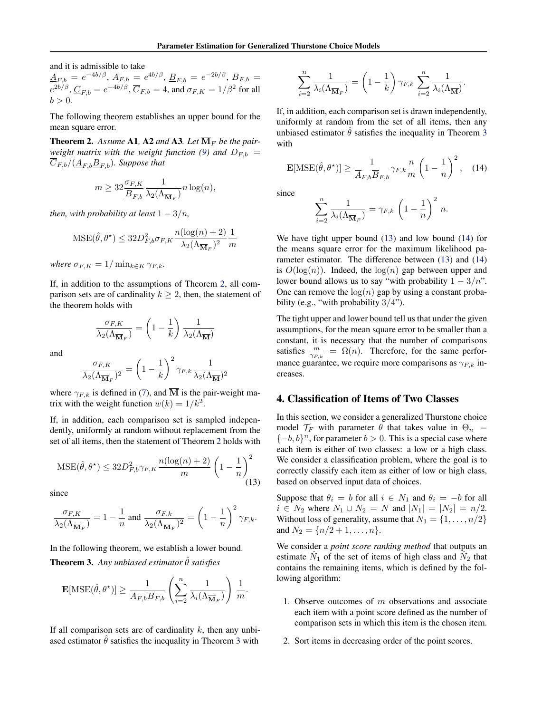<span id="page-5-0"></span>and it is admissible to take

 $\underline{A}_{F,b} = e^{-4b/\beta}, \, \overline{A}_{F,b} = e^{4b/\beta}, \, \underline{B}_{F,b} = e^{-2b/\beta}, \, \overline{B}_{F,b} = 0$  $e^{2b/\beta}$ ,  $\underline{C}_{F,b} = e^{-4b/\beta}$ ,  $\overline{C}_{F,b} = 4$ , and  $\sigma_{F,K} = 1/\beta^2$  for all  $b > 0$ .

The following theorem establishes an upper bound for the mean square error.

**Theorem 2.** Assume A1, A2 and A3. Let  $\overline{M}_F$  be the pair-*weight matrix with the weight function [\(9\)](#page-3-0) and*  $D_{F,b}$  *=*  $C_{F,b}/(\underline{A}_{F,b}\underline{B}_{F,b})$ *. Suppose that* 

$$
m \ge 32 \frac{\sigma_{F,K}}{\underline{B}_{F,b}} \frac{1}{\lambda_2(\Lambda_{\overline{\mathbf{M}}_F})} n \log(n),
$$

*then, with probability at least*  $1 - 3/n$ *,* 

$$
\text{MSE}(\hat{\theta}, \theta^{\star}) \le 32 D_{F,b}^2 \sigma_{F,K} \frac{n(\log(n) + 2)}{\lambda_2 (\Lambda_{\overline{\mathbf{M}}_F})^2} \frac{1}{m}
$$

*where*  $\sigma_{F,K} = 1/\min_{k \in K} \gamma_{F,k}$ *.* 

If, in addition to the assumptions of Theorem 2, all comparison sets are of cardinality  $k > 2$ , then, the statement of the theorem holds with

$$
\frac{\sigma_{F,K}}{\lambda_2(\Lambda_{\overline{\textbf{M}}_F})} = \left(1 - \frac{1}{k}\right) \frac{1}{\lambda_2(\Lambda_{\overline{\textbf{M}}})}
$$

and

$$
\frac{\sigma_{F,K}}{\lambda_2(\Lambda_{\overline{\textbf{M}}_F})^2} = \left(1-\frac{1}{k}\right)^2 \gamma_{F,k} \frac{1}{\lambda_2(\Lambda_{\overline{\textbf{M}}})^2}
$$

where  $\gamma_{F,k}$  is defined in [\(7\)](#page-3-0), and  $\overline{M}$  is the pair-weight matrix with the weight function  $w(k)=1/k^2$ .

If, in addition, each comparison set is sampled independently, uniformly at random without replacement from the set of all items, then the statement of Theorem 2 holds with

$$
\text{MSE}(\hat{\theta}, \theta^{\star}) \le 32D_{F, b}^2 \gamma_{F, K} \frac{n(\log(n) + 2)}{m} \left(1 - \frac{1}{n}\right)^2
$$
\n(13)

since

$$
\frac{\sigma_{F,K}}{\lambda_2(\Lambda_{\overline{\mathbf{M}}_F})} = 1 - \frac{1}{n} \text{ and } \frac{\sigma_{F,k}}{\lambda_2(\Lambda_{\overline{\mathbf{M}}_F})^2} = \left(1 - \frac{1}{n}\right)^2 \gamma_{F,k}.
$$

In the following theorem, we establish a lower bound. **Theorem 3.** Any unbiased estimator  $\hat{\theta}$  satisfies

$$
\mathbf{E}[\text{MSE}(\hat{\theta}, \theta^\star)] \geq \frac{1}{\overline{A}_{F,b}\overline{B}_{F,b}} \left(\sum_{i=2}^n \frac{1}{\lambda_i(\Lambda_{\overline{\mathbf{M}}_F})}\right) \frac{1}{m}.
$$

If all comparison sets are of cardinality *k*, then any unbiased estimator  $\hat{\theta}$  satisfies the inequality in Theorem 3 with

$$
\sum_{i=2}^{n} \frac{1}{\lambda_i(\Lambda_{\overline{\mathbf{M}}_F})} = \left(1 - \frac{1}{k}\right) \gamma_{F,k} \sum_{i=2}^{n} \frac{1}{\lambda_i(\Lambda_{\overline{\mathbf{M}}})}.
$$

If, in addition, each comparison set is drawn independently, uniformly at random from the set of all items, then any unbiased estimator  $\hat{\theta}$  satisfies the inequality in Theorem 3 with

$$
\mathbf{E}[\text{MSE}(\hat{\theta}, \theta^{\star})] \ge \frac{1}{\overline{A}_{F,b}\overline{B}_{F,b}} \gamma_{F,k} \frac{n}{m} \left(1 - \frac{1}{n}\right)^2, \quad (14)
$$

since

$$
\sum_{i=2}^{n} \frac{1}{\lambda_i(\Lambda_{\overline{\mathbf{M}}_F})} = \gamma_{F,k} \left(1 - \frac{1}{n}\right)^2 n.
$$

We have tight upper bound (13) and low bound (14) for the means square error for the maximum likelihood parameter estimator. The difference between (13) and (14) is  $O(\log(n))$ . Indeed, the  $\log(n)$  gap between upper and lower bound allows us to say "with probability  $1 - 3/n$ ". One can remove the  $log(n)$  gap by using a constant probability (e.g., "with probability 3*/*4").

The tight upper and lower bound tell us that under the given assumptions, for the mean square error to be smaller than a constant, it is necessary that the number of comparisons satisfies  $\frac{m}{\gamma_{F,k}} = \Omega(n)$ . Therefore, for the same performance guarantee, we require more comparisons as  $\gamma_{F,k}$  increases.

# 4. Classification of Items of Two Classes

In this section, we consider a generalized Thurstone choice model  $\mathcal{T}_F$  with parameter  $\theta$  that takes value in  $\Theta_n$  =  $\{-b, b\}^n$ , for parameter  $b > 0$ . This is a special case where each item is either of two classes: a low or a high class. We consider a classification problem, where the goal is to correctly classify each item as either of low or high class, based on observed input data of choices.

Suppose that  $\theta_i = b$  for all  $i \in N_1$  and  $\theta_i = -b$  for all  $i \in N_2$  where  $N_1 \cup N_2 = N$  and  $|N_1| = |N_2| = n/2$ . Without loss of generality, assume that  $N_1 = \{1, \ldots, n/2\}$ and  $N_2 = \{n/2 + 1, \ldots, n\}.$ 

We consider a *point score ranking method* that outputs an estimate  $N_1$  of the set of items of high class and  $N_2$  that contains the remaining items, which is defined by the following algorithm:

- 1. Observe outcomes of *m* observations and associate each item with a point score defined as the number of comparison sets in which this item is the chosen item.
- 2. Sort items in decreasing order of the point scores.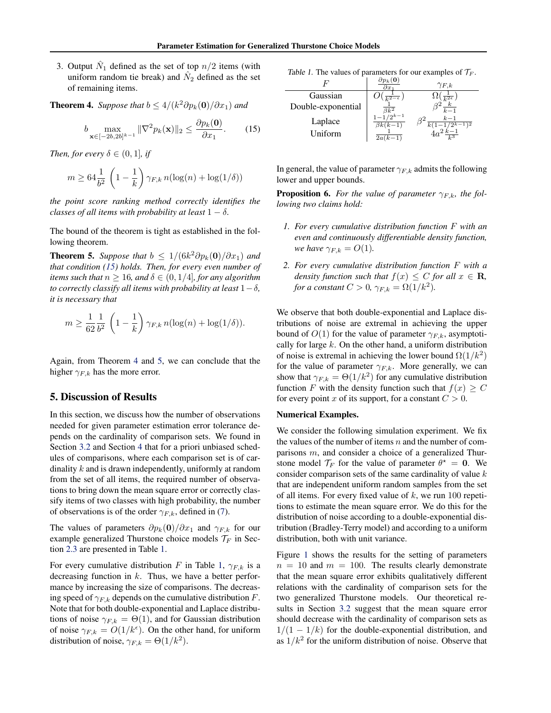<span id="page-6-0"></span>3. Output  $\hat{N}_1$  defined as the set of top  $n/2$  items (with uniform random tie break) and  $\dot{N}_2$  defined as the set of remaining items.

**Theorem 4.** *Suppose that*  $b \leq 4/(k^2 \partial p_k(\mathbf{0})/\partial x_1)$  *and* 

$$
b \max_{\mathbf{x} \in [-2b, 2b]^{k-1}} \|\nabla^2 p_k(\mathbf{x})\|_2 \le \frac{\partial p_k(\mathbf{0})}{\partial x_1}.
$$
 (15)

*Then, for every*  $\delta \in (0, 1]$ *, if* 

$$
m \geq 64 \frac{1}{b^2}\,\left(1-\frac{1}{k}\right)\gamma_{F,k}\,n(\log(n)+\log(1/\delta))
$$

*the point score ranking method correctly identifies the classes of all items with probability at least*  $1 - \delta$ .

The bound of the theorem is tight as established in the following theorem.

**Theorem 5.** Suppose that  $b \leq 1/(6k^2 \partial p_k(\mathbf{0})/\partial x_1)$  and *that condition (15) holds. Then, for every even number of items such that*  $n \geq 16$ *, and*  $\delta \in (0, 1/4]$ *, for any algorithm to correctly classify all items with probability at least*  $1-\delta$ , *it is necessary that*

$$
m \ge \frac{1}{62} \frac{1}{b^2} \left( 1 - \frac{1}{k} \right) \gamma_{F,k} n(\log(n) + \log(1/\delta)).
$$

Again, from Theorem 4 and 5, we can conclude that the higher  $\gamma_{F,k}$  has the more error.

## 5. Discussion of Results

In this section, we discuss how the number of observations needed for given parameter estimation error tolerance depends on the cardinality of comparison sets. We found in Section [3.2](#page-4-0) and Section [4](#page-5-0) that for a priori unbiased schedules of comparisons, where each comparison set is of cardinality *k* and is drawn independently, uniformly at random from the set of all items, the required number of observations to bring down the mean square error or correctly classify items of two classes with high probability, the number of observations is of the order  $\gamma_{F,k}$ , defined in [\(7\)](#page-3-0).

The values of parameters  $\partial p_k(\mathbf{0})/\partial x_1$  and  $\gamma_{F,k}$  for our example generalized Thurstone choice models  $\mathcal{T}_F$  in Section [2.3](#page-2-0) are presented in Table 1.

For every cumulative distribution *F* in Table 1,  $\gamma_{F,k}$  is a decreasing function in *k*. Thus, we have a better performance by increasing the size of comparisons. The decreasing speed of  $\gamma_{F,k}$  depends on the cumulative distribution *F*. Note that for both double-exponential and Laplace distributions of noise  $\gamma_{F,k} = \Theta(1)$ , and for Gaussian distribution of noise  $\gamma_{F,k} = O(1/k^{\epsilon})$ . On the other hand, for uniform distribution of noise,  $\gamma_{F,k} = \Theta(1/k^2)$ .

*Table 1.* The values of parameters for our examples of *T<sup>F</sup>* .

|                    | $\partial x$                               | $\gamma_{F,k}$           |
|--------------------|--------------------------------------------|--------------------------|
| Gaussian           |                                            | $\overline{k^2\epsilon}$ |
| Double-exponential | $\frac{\overline{\beta k^2}}{1-1/2^{k-1}}$ | k<br>$\overline{k-1}$    |
| Laplace<br>Uniform | $\beta k(k-1)$<br>$(k-1)$<br>2a            | $k-1$                    |

In general, the value of parameter  $\gamma_{F,k}$  admits the following lower and upper bounds.

**Proposition 6.** For the value of parameter  $\gamma_{F,k}$ , the fol*lowing two claims hold:*

- *1. For every cumulative distribution function F with an even and continuously differentiable density function, we have*  $\gamma_{F,k} = O(1)$ *.*
- *2. For every cumulative distribution function F with a density function such that*  $f(x) \leq C$  *for all*  $x \in \mathbb{R}$ *, for a constant*  $C > 0$ ,  $\gamma_{F,k} = \Omega(1/k^2)$ .

We observe that both double-exponential and Laplace distributions of noise are extremal in achieving the upper bound of  $O(1)$  for the value of parameter  $\gamma_{F,k}$ , asymptotically for large *k*. On the other hand, a uniform distribution of noise is extremal in achieving the lower bound  $\Omega(1/k^2)$ for the value of parameter  $\gamma_{F,k}$ . More generally, we can show that  $\gamma_{F,k} = \Theta(1/k^2)$  for any cumulative distribution function *F* with the density function such that  $f(x) \geq C$ for every point *x* of its support, for a constant  $C > 0$ .

### Numerical Examples.

We consider the following simulation experiment. We fix the values of the number of items *n* and the number of comparisons *m*, and consider a choice of a generalized Thurstone model  $\mathcal{T}_F$  for the value of parameter  $\theta^* = 0$ . We consider comparison sets of the same cardinality of value *k* that are independent uniform random samples from the set of all items. For every fixed value of *k*, we run 100 repetitions to estimate the mean square error. We do this for the distribution of noise according to a double-exponential distribution (Bradley-Terry model) and according to a uniform distribution, both with unit variance.

Figure [1](#page-7-0) shows the results for the setting of parameters  $n = 10$  and  $m = 100$ . The results clearly demonstrate that the mean square error exhibits qualitatively different relations with the cardinality of comparison sets for the two generalized Thurstone models. Our theoretical results in Section [3.2](#page-4-0) suggest that the mean square error should decrease with the cardinality of comparison sets as  $1/(1 - 1/k)$  for the double-exponential distribution, and as  $1/k<sup>2</sup>$  for the uniform distribution of noise. Observe that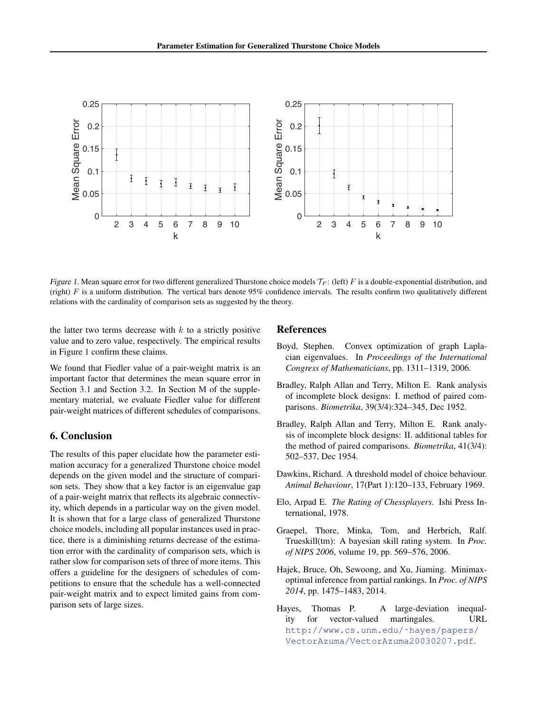<span id="page-7-0"></span>

*Figure 1.* Mean square error for two different generalized Thurstone choice models  $\mathcal{T}_F$ : (left) *F* is a double-exponential distribution, and (right) *F* is a uniform distribution. The vertical bars denote 95% confidence intervals. The results confirm two qualitatively different relations with the cardinality of comparison sets as suggested by the theory.

the latter two terms decrease with *k* to a strictly positive value and to zero value, respectively. The empirical results in Figure 1 confirm these claims.

We found that Fiedler value of a pair-weight matrix is an important factor that determines the mean square error in Section [3.1](#page-3-0) and Section [3.2.](#page-4-0) In Section [M](#page-0-0) of the supplementary material, we evaluate Fiedler value for different pair-weight matrices of different schedules of comparisons.

# 6. Conclusion

The results of this paper elucidate how the parameter estimation accuracy for a generalized Thurstone choice model depends on the given model and the structure of comparison sets. They show that a key factor is an eigenvalue gap of a pair-weight matrix that reflects its algebraic connectivity, which depends in a particular way on the given model. It is shown that for a large class of generalized Thurstone choice models, including all popular instances used in practice, there is a diminishing returns decrease of the estimation error with the cardinality of comparison sets, which is rather slow for comparison sets of three of more items. This offers a guideline for the designers of schedules of competitions to ensure that the schedule has a well-connected pair-weight matrix and to expect limited gains from comparison sets of large sizes.

## References

- Boyd, Stephen. Convex optimization of graph Laplacian eigenvalues. In *Proceedings of the International Congress of Mathematicians*, pp. 1311–1319, 2006.
- Bradley, Ralph Allan and Terry, Milton E. Rank analysis of incomplete block designs: I. method of paired comparisons. *Biometrika*, 39(3/4):324–345, Dec 1952.
- Bradley, Ralph Allan and Terry, Milton E. Rank analysis of incomplete block designs: II. additional tables for the method of paired comparisons. *Biometrika*, 41(3/4): 502–537, Dec 1954.
- Dawkins, Richard. A threshold model of choice behaviour. *Animal Behaviour*, 17(Part 1):120–133, February 1969.
- Elo, Arpad E. *The Rating of Chessplayers*. Ishi Press International, 1978.
- Graepel, Thore, Minka, Tom, and Herbrich, Ralf. Trueskill(tm): A bayesian skill rating system. In *Proc. of NIPS 2006*, volume 19, pp. 569–576, 2006.
- Hajek, Bruce, Oh, Sewoong, and Xu, Jiaming. Minimaxoptimal inference from partial rankings. In *Proc. of NIPS 2014*, pp. 1475–1483, 2014.
- Hayes, Thomas P. A large-deviation inequality for vector-valued martingales. URL [http://www.cs.unm.edu/˜hayes/papers/](http://www.cs.unm.edu/~hayes/papers/VectorAzuma/VectorAzuma20030207.pdf) [VectorAzuma/VectorAzuma20030207.pdf](http://www.cs.unm.edu/~hayes/papers/VectorAzuma/VectorAzuma20030207.pdf).